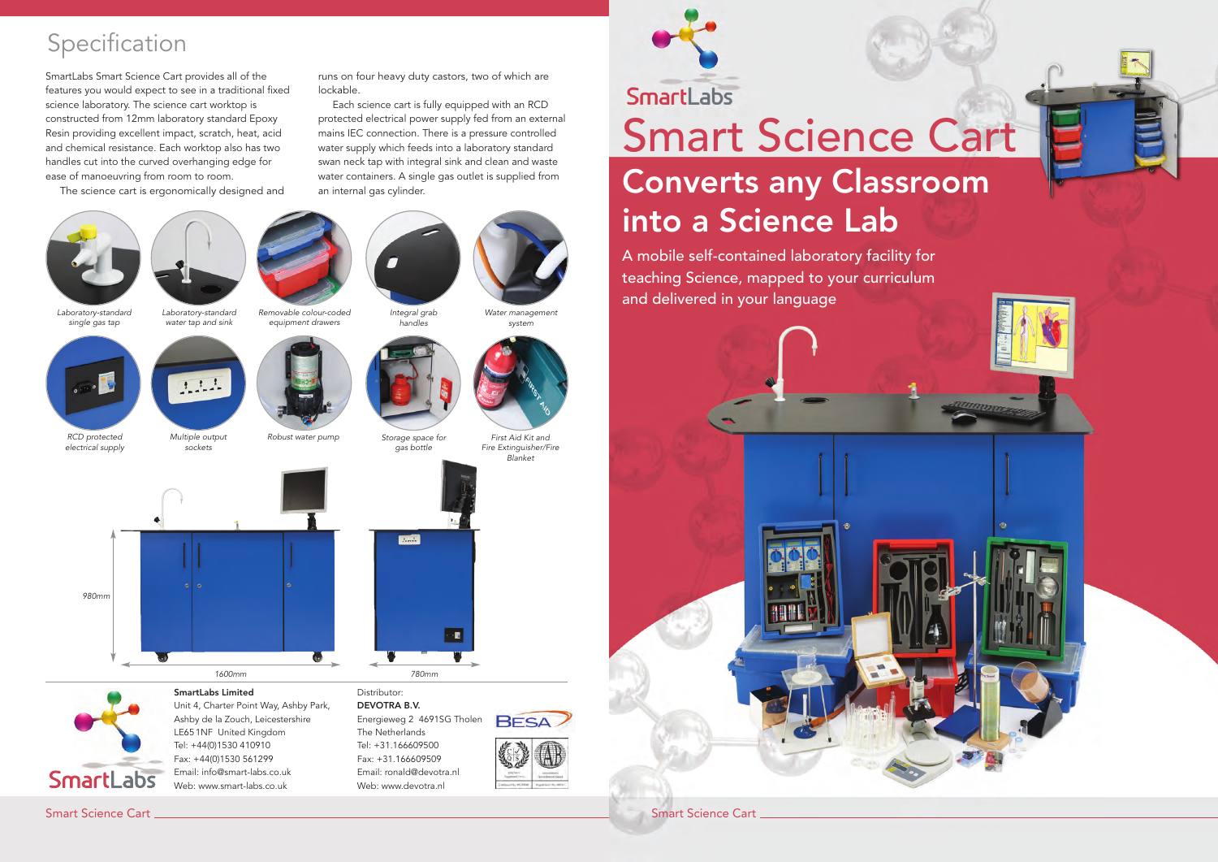

# Smart Science Cart Converts any Classroom into a Science Lab

A mobile self-contained laboratory facility for teaching Science, mapped to your curriculum and delivered in your language

### Specification

SmartLabs Smart Science Cart provides all of the features you would expect to see in a traditional fixed science laboratory. The science cart worktop is constructed from 12mm laboratory standard Epoxy Resin providing excellent impact, scratch, heat, acid and chemical resistance. Each worktop also has two handles cut into the curved overhanging edge for ease of manoeuvring from room to room.

The science cart is ergonomically designed and

runs on four heavy duty castors, two of which are lockable.

Each science cart is fully equipped with an RCD protected electrical power supply fed from an external mains IEC connection. There is a pressure controlled water supply which feeds into a laboratory standard swan neck tap with integral sink and clean and waste water containers. A single gas outlet is supplied from an internal gas cylinder.





Ashby de la Zouch, Leicestershire LE651NF United Kingdom Tel: +44(0)1530 410910 Fax: +44(0)1530 561299 Email: info@smart-labs.co.uk Web: www.smart-labs.co.uk



The Netherlands Tel: +31.166609500 Fax: +31.166609509 Email: ronald@devotra.nl Web: www.devotra.nl